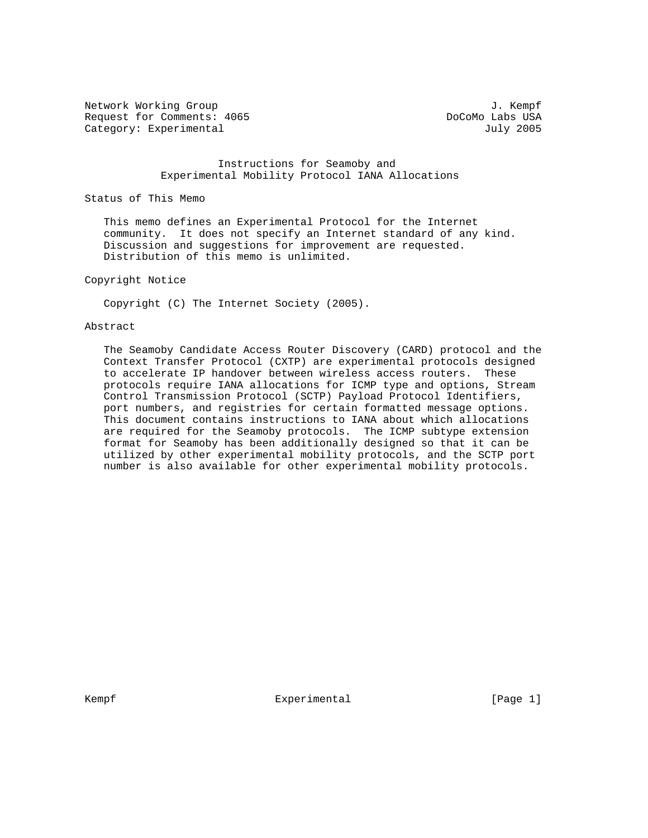Network Working Group 3. The Second Second Second Second Second Second Second Second Second Second Second Second Second Second Second Second Second Second Second Second Second Second Second Second Second Second Second Seco Request for Comments: 4065 **DoCoMo Labs USA** Category: Experimental July 2005

 Instructions for Seamoby and Experimental Mobility Protocol IANA Allocations

Status of This Memo

 This memo defines an Experimental Protocol for the Internet community. It does not specify an Internet standard of any kind. Discussion and suggestions for improvement are requested. Distribution of this memo is unlimited.

### Copyright Notice

Copyright (C) The Internet Society (2005).

### Abstract

 The Seamoby Candidate Access Router Discovery (CARD) protocol and the Context Transfer Protocol (CXTP) are experimental protocols designed to accelerate IP handover between wireless access routers. These protocols require IANA allocations for ICMP type and options, Stream Control Transmission Protocol (SCTP) Payload Protocol Identifiers, port numbers, and registries for certain formatted message options. This document contains instructions to IANA about which allocations are required for the Seamoby protocols. The ICMP subtype extension format for Seamoby has been additionally designed so that it can be utilized by other experimental mobility protocols, and the SCTP port number is also available for other experimental mobility protocols.

Kempf Experimental [Page 1]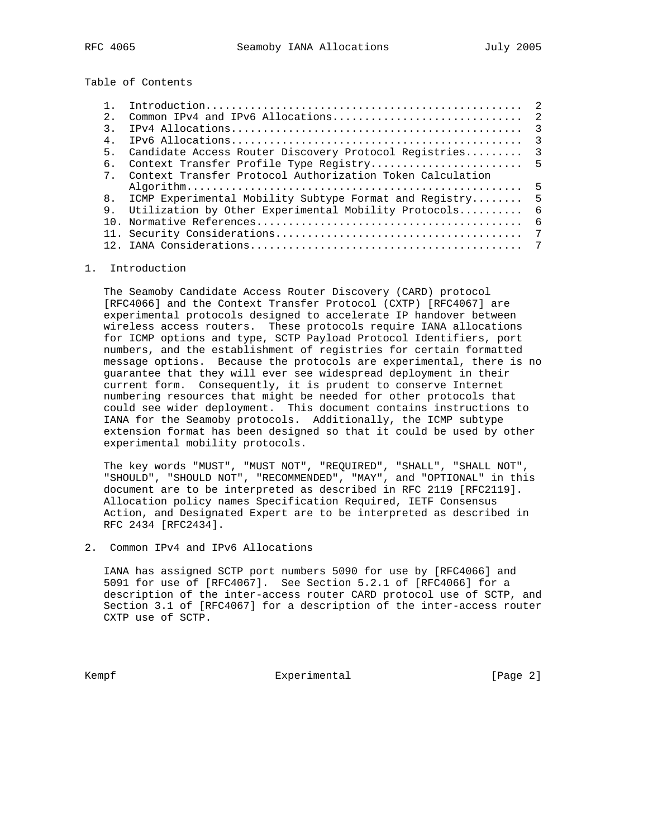Table of Contents

| 2.             |                                                           |               |
|----------------|-----------------------------------------------------------|---------------|
| 3              |                                                           | $\mathcal{R}$ |
| 4.             |                                                           | $\mathbf{3}$  |
| 5 <sub>1</sub> | Candidate Access Router Discovery Protocol Registries     | $\mathcal{R}$ |
| б.             |                                                           |               |
| 7              | Context Transfer Protocol Authorization Token Calculation |               |
|                |                                                           | 5             |
|                | 8. ICMP Experimental Mobility Subtype Format and Registry | -5            |
| 9.             | Utilization by Other Experimental Mobility Protocols      | -6            |
| 1 N            |                                                           | -6            |
|                |                                                           |               |
|                |                                                           |               |
|                |                                                           |               |

#### 1. Introduction

 The Seamoby Candidate Access Router Discovery (CARD) protocol [RFC4066] and the Context Transfer Protocol (CXTP) [RFC4067] are experimental protocols designed to accelerate IP handover between wireless access routers. These protocols require IANA allocations for ICMP options and type, SCTP Payload Protocol Identifiers, port numbers, and the establishment of registries for certain formatted message options. Because the protocols are experimental, there is no guarantee that they will ever see widespread deployment in their current form. Consequently, it is prudent to conserve Internet numbering resources that might be needed for other protocols that could see wider deployment. This document contains instructions to IANA for the Seamoby protocols. Additionally, the ICMP subtype extension format has been designed so that it could be used by other experimental mobility protocols.

 The key words "MUST", "MUST NOT", "REQUIRED", "SHALL", "SHALL NOT", "SHOULD", "SHOULD NOT", "RECOMMENDED", "MAY", and "OPTIONAL" in this document are to be interpreted as described in RFC 2119 [RFC2119]. Allocation policy names Specification Required, IETF Consensus Action, and Designated Expert are to be interpreted as described in RFC 2434 [RFC2434].

2. Common IPv4 and IPv6 Allocations

 IANA has assigned SCTP port numbers 5090 for use by [RFC4066] and 5091 for use of [RFC4067]. See Section 5.2.1 of [RFC4066] for a description of the inter-access router CARD protocol use of SCTP, and Section 3.1 of [RFC4067] for a description of the inter-access router CXTP use of SCTP.

Kempf Experimental Experimental [Page 2]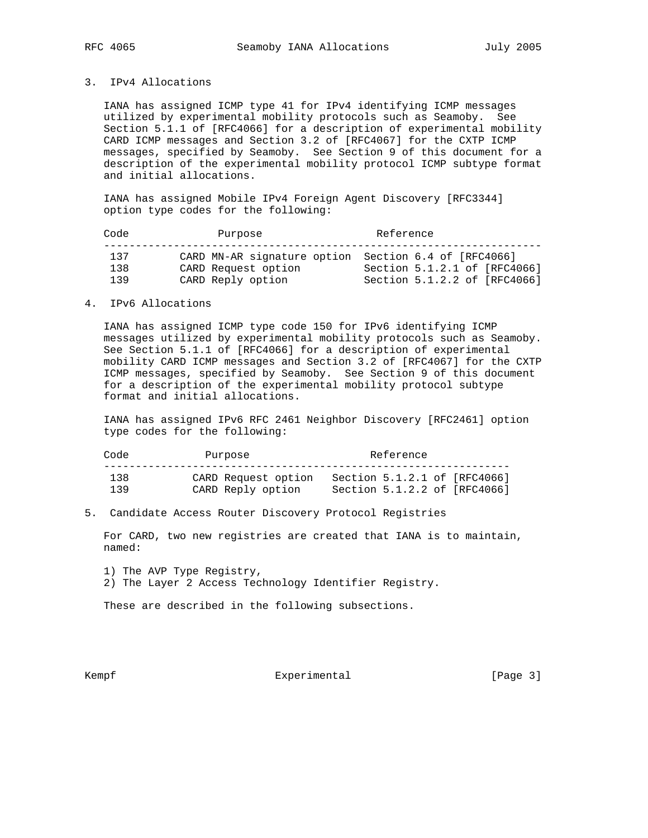# 3. IPv4 Allocations

 IANA has assigned ICMP type 41 for IPv4 identifying ICMP messages utilized by experimental mobility protocols such as Seamoby. See Section 5.1.1 of [RFC4066] for a description of experimental mobility CARD ICMP messages and Section 3.2 of [RFC4067] for the CXTP ICMP messages, specified by Seamoby. See Section 9 of this document for a description of the experimental mobility protocol ICMP subtype format and initial allocations.

 IANA has assigned Mobile IPv4 Foreign Agent Discovery [RFC3344] option type codes for the following:

| Code              | Purpose                                                                                          | Reference                                                    |  |
|-------------------|--------------------------------------------------------------------------------------------------|--------------------------------------------------------------|--|
| 137<br>138<br>139 | CARD MN-AR signature option Section 6.4 of [RFC4066]<br>CARD Request option<br>CARD Reply option | Section 5.1.2.1 of [RFC4066]<br>Section 5.1.2.2 of [RFC4066] |  |

# 4. IPv6 Allocations

 IANA has assigned ICMP type code 150 for IPv6 identifying ICMP messages utilized by experimental mobility protocols such as Seamoby. See Section 5.1.1 of [RFC4066] for a description of experimental mobility CARD ICMP messages and Section 3.2 of [RFC4067] for the CXTP ICMP messages, specified by Seamoby. See Section 9 of this document for a description of the experimental mobility protocol subtype format and initial allocations.

 IANA has assigned IPv6 RFC 2461 Neighbor Discovery [RFC2461] option type codes for the following:

| Code | Purpose             | Reference                    |
|------|---------------------|------------------------------|
| 138  | CARD Request option | Section 5.1.2.1 of [RFC4066] |
| 139  | CARD Reply option   | Section 5.1.2.2 of [RFC4066] |

5. Candidate Access Router Discovery Protocol Registries

 For CARD, two new registries are created that IANA is to maintain, named:

- 1) The AVP Type Registry,
- 2) The Layer 2 Access Technology Identifier Registry.

These are described in the following subsections.

Kempf Experimental [Page 3]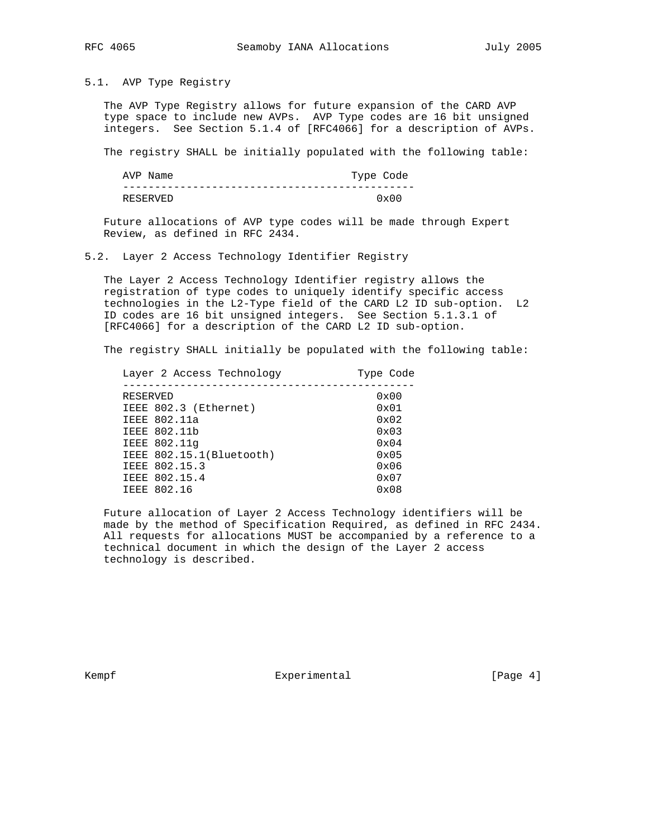# 5.1. AVP Type Registry

 The AVP Type Registry allows for future expansion of the CARD AVP type space to include new AVPs. AVP Type codes are 16 bit unsigned integers. See Section 5.1.4 of [RFC4066] for a description of AVPs.

The registry SHALL be initially populated with the following table:

| AVP Name | Type Code |               |
|----------|-----------|---------------|
|          |           |               |
| RESERVED |           | $0 \times 00$ |

 Future allocations of AVP type codes will be made through Expert Review, as defined in RFC 2434.

5.2. Layer 2 Access Technology Identifier Registry

 The Layer 2 Access Technology Identifier registry allows the registration of type codes to uniquely identify specific access technologies in the L2-Type field of the CARD L2 ID sub-option. L2 ID codes are 16 bit unsigned integers. See Section 5.1.3.1 of [RFC4066] for a description of the CARD L2 ID sub-option.

The registry SHALL initially be populated with the following table:

|          | Layer 2 Access Technology | Type Code     |
|----------|---------------------------|---------------|
|          |                           |               |
| RESERVED |                           | $0 \times 00$ |
|          | IEEE 802.3 (Ethernet)     | $0 \times 01$ |
|          | IEEE 802.11a              | $0 \times 02$ |
|          | IEEE 802.11b              | $0 \times 03$ |
|          | IEEE 802.11q              | $0 \times 04$ |
|          | IEEE 802.15.1(Bluetooth)  | $0 \times 05$ |
|          | IEEE 802.15.3             | 0x06          |
|          | IEEE 802.15.4             | $0 \times 07$ |
|          | IEEE 802.16               | $0 \times 08$ |
|          |                           |               |

 Future allocation of Layer 2 Access Technology identifiers will be made by the method of Specification Required, as defined in RFC 2434. All requests for allocations MUST be accompanied by a reference to a technical document in which the design of the Layer 2 access technology is described.

Kempf Experimental Experimental [Page 4]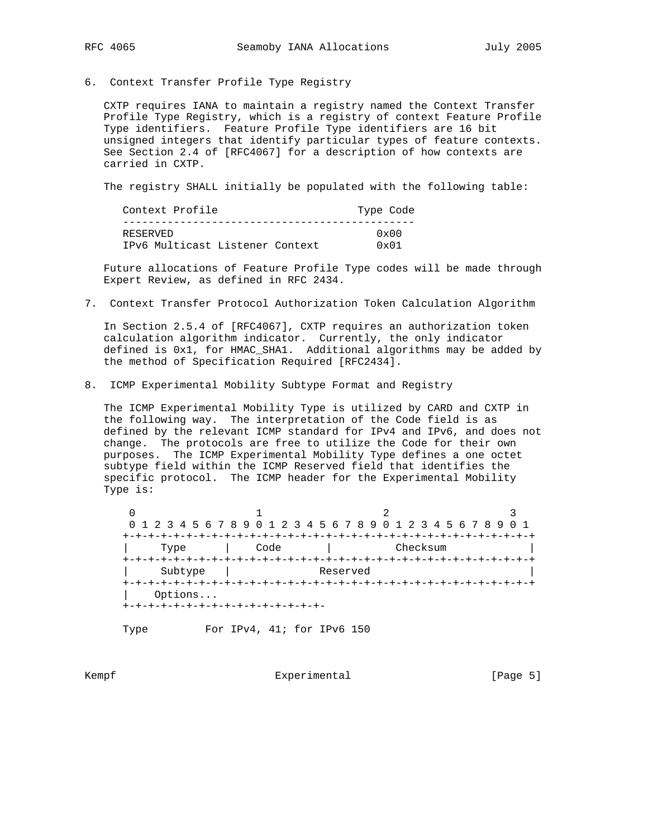6. Context Transfer Profile Type Registry

 CXTP requires IANA to maintain a registry named the Context Transfer Profile Type Registry, which is a registry of context Feature Profile Type identifiers. Feature Profile Type identifiers are 16 bit unsigned integers that identify particular types of feature contexts. See Section 2.4 of [RFC4067] for a description of how contexts are carried in CXTP.

The registry SHALL initially be populated with the following table:

| Context Profile                 | Type Code     |
|---------------------------------|---------------|
| RESERVED                        | $0 \times 00$ |
| IPv6 Multicast Listener Context | $0 \times 01$ |

 Future allocations of Feature Profile Type codes will be made through Expert Review, as defined in RFC 2434.

7. Context Transfer Protocol Authorization Token Calculation Algorithm

 In Section 2.5.4 of [RFC4067], CXTP requires an authorization token calculation algorithm indicator. Currently, the only indicator defined is 0x1, for HMAC\_SHA1. Additional algorithms may be added by the method of Specification Required [RFC2434].

8. ICMP Experimental Mobility Subtype Format and Registry

 The ICMP Experimental Mobility Type is utilized by CARD and CXTP in the following way. The interpretation of the Code field is as defined by the relevant ICMP standard for IPv4 and IPv6, and does not change. The protocols are free to utilize the Code for their own purposes. The ICMP Experimental Mobility Type defines a one octet subtype field within the ICMP Reserved field that identifies the specific protocol. The ICMP header for the Experimental Mobility Type is:

 $0$  1 2 3 0 1 2 3 4 5 6 7 8 9 0 1 2 3 4 5 6 7 8 9 0 1 2 3 4 5 6 7 8 9 0 1 +-+-+-+-+-+-+-+-+-+-+-+-+-+-+-+-+-+-+-+-+-+-+-+-+-+-+-+-+-+-+-+-+ Type | Code | Checksum +-+-+-+-+-+-+-+-+-+-+-+-+-+-+-+-+-+-+-+-+-+-+-+-+-+-+-+-+-+-+-+-+ Subtype | Reserved +-+-+-+-+-+-+-+-+-+-+-+-+-+-+-+-+-+-+-+-+-+-+-+-+-+-+-+-+-+-+-+-+ | Options... +-+-+-+-+-+-+-+-+-+-+-+-+-+-+-+-

Type For IPv4, 41; for IPv6 150

Kempf Experimental Experimental [Page 5]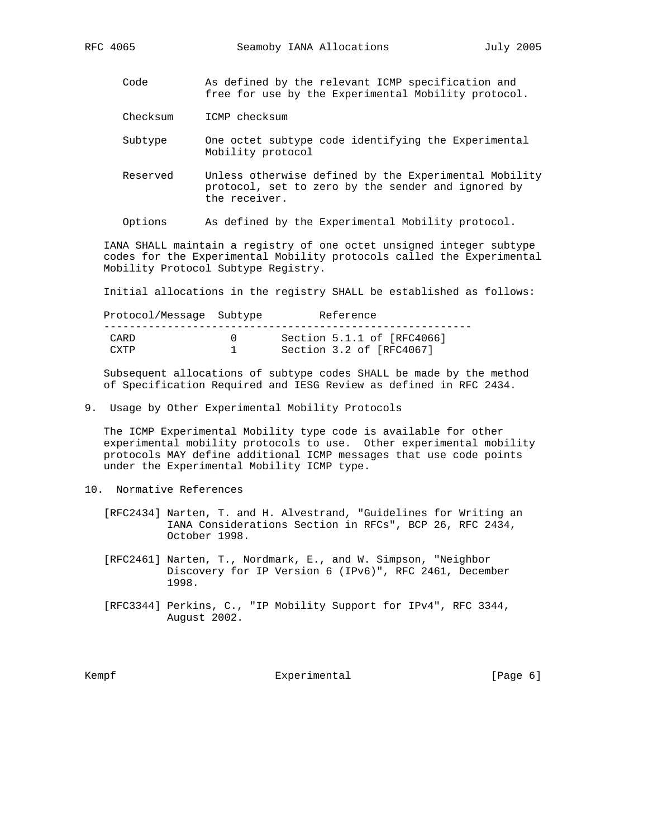- Code As defined by the relevant ICMP specification and free for use by the Experimental Mobility protocol.
- Checksum ICMP checksum
- Subtype One octet subtype code identifying the Experimental Mobility protocol
- Reserved Unless otherwise defined by the Experimental Mobility protocol, set to zero by the sender and ignored by the receiver.
- Options As defined by the Experimental Mobility protocol.

 IANA SHALL maintain a registry of one octet unsigned integer subtype codes for the Experimental Mobility protocols called the Experimental Mobility Protocol Subtype Registry.

Initial allocations in the registry SHALL be established as follows:

Protocol/Message Subtype Reference

| CARD | Section 5.1.1 of [RFC4066] |
|------|----------------------------|
| CYTP | Section 3.2 of [RFC4067]   |

 Subsequent allocations of subtype codes SHALL be made by the method of Specification Required and IESG Review as defined in RFC 2434.

9. Usage by Other Experimental Mobility Protocols

 The ICMP Experimental Mobility type code is available for other experimental mobility protocols to use. Other experimental mobility protocols MAY define additional ICMP messages that use code points under the Experimental Mobility ICMP type.

- 10. Normative References
	- [RFC2434] Narten, T. and H. Alvestrand, "Guidelines for Writing an IANA Considerations Section in RFCs", BCP 26, RFC 2434, October 1998.
	- [RFC2461] Narten, T., Nordmark, E., and W. Simpson, "Neighbor Discovery for IP Version 6 (IPv6)", RFC 2461, December 1998.
	- [RFC3344] Perkins, C., "IP Mobility Support for IPv4", RFC 3344, August 2002.

Kempf **Experimental** Experimental [Page 6]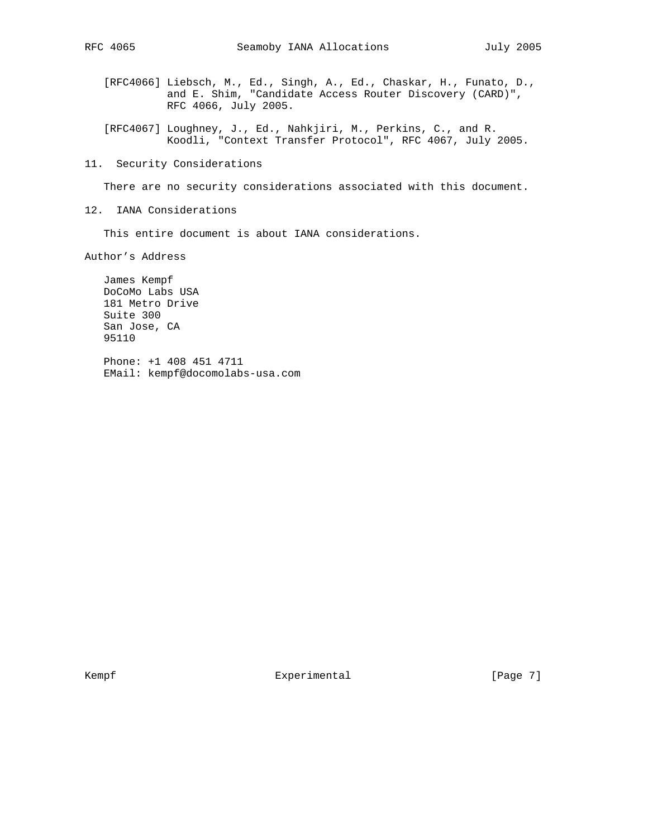- [RFC4066] Liebsch, M., Ed., Singh, A., Ed., Chaskar, H., Funato, D., and E. Shim, "Candidate Access Router Discovery (CARD)", RFC 4066, July 2005.
- [RFC4067] Loughney, J., Ed., Nahkjiri, M., Perkins, C., and R. Koodli, "Context Transfer Protocol", RFC 4067, July 2005.
- 11. Security Considerations

There are no security considerations associated with this document.

12. IANA Considerations

This entire document is about IANA considerations.

Author's Address

 James Kempf DoCoMo Labs USA 181 Metro Drive Suite 300 San Jose, CA 95110

 Phone: +1 408 451 4711 EMail: kempf@docomolabs-usa.com

Kempf Experimental [Page 7]